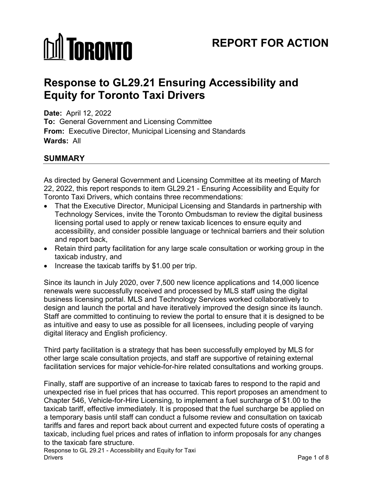# **MI TORONTO**

# **REPORT FOR ACTION**

# **Response to GL29.21 Ensuring Accessibility and Equity for Toronto Taxi Drivers**

**Date:** April 12, 2022 **To:** General Government and Licensing Committee **From:** Executive Director, Municipal Licensing and Standards **Wards:** All

## **SUMMARY**

As directed by General Government and Licensing Committee at its meeting of March 22, 2022, this report responds to item GL29.21 - Ensuring Accessibility and Equity for Toronto Taxi Drivers, which contains three recommendations:

- That the Executive Director, Municipal Licensing and Standards in partnership with Technology Services, invite the Toronto Ombudsman to review the digital business licensing portal used to apply or renew taxicab licences to ensure equity and accessibility, and consider possible language or technical barriers and their solution and report back,
- Retain third party facilitation for any large scale consultation or working group in the taxicab industry, and
- Increase the taxicab tariffs by \$1.00 per trip.

Since its launch in July 2020, over 7,500 new licence applications and 14,000 licence renewals were successfully received and processed by MLS staff using the digital business licensing portal. MLS and Technology Services worked collaboratively to design and launch the portal and have iteratively improved the design since its launch. Staff are committed to continuing to review the portal to ensure that it is designed to be as intuitive and easy to use as possible for all licensees, including people of varying digital literacy and English proficiency.

Third party facilitation is a strategy that has been successfully employed by MLS for other large scale consultation projects, and staff are supportive of retaining external facilitation services for major vehicle-for-hire related consultations and working groups.

Finally, staff are supportive of an increase to taxicab fares to respond to the rapid and unexpected rise in fuel prices that has occurred. This report proposes an amendment to Chapter 546, Vehicle-for-Hire Licensing, to implement a fuel surcharge of \$1.00 to the taxicab tariff, effective immediately. It is proposed that the fuel surcharge be applied on a temporary basis until staff can conduct a fulsome review and consultation on taxicab tariffs and fares and report back about current and expected future costs of operating a taxicab, including fuel prices and rates of inflation to inform proposals for any changes to the taxicab fare structure.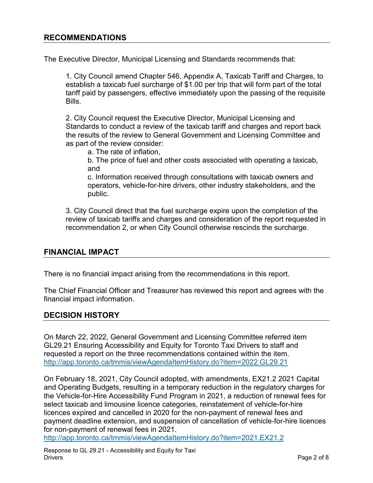#### **RECOMMENDATIONS**

The Executive Director, Municipal Licensing and Standards recommends that:

1. City Council amend Chapter 546, Appendix A, Taxicab Tariff and Charges, to establish a taxicab fuel surcharge of \$1.00 per trip that will form part of the total tariff paid by passengers, effective immediately upon the passing of the requisite Bills.

2. City Council request the Executive Director, Municipal Licensing and Standards to conduct a review of the taxicab tariff and charges and report back the results of the review to General Government and Licensing Committee and as part of the review consider:

a. The rate of inflation,

b. The price of fuel and other costs associated with operating a taxicab, and

c. Information received through consultations with taxicab owners and operators, vehicle-for-hire drivers, other industry stakeholders, and the public.

3. City Council direct that the fuel surcharge expire upon the completion of the review of taxicab tariffs and charges and consideration of the report requested in recommendation 2, or when City Council otherwise rescinds the surcharge.

#### **FINANCIAL IMPACT**

There is no financial impact arising from the recommendations in this report.

The Chief Financial Officer and Treasurer has reviewed this report and agrees with the financial impact information.

#### **DECISION HISTORY**

On March 22, 2022, General Government and Licensing Committee referred item GL29.21 Ensuring Accessibility and Equity for Toronto Taxi Drivers to staff and requested a report on the three recommendations contained within the item. <http://app.toronto.ca/tmmis/viewAgendaItemHistory.do?item=2022.GL29.21>

On February 18, 2021, City Council adopted, with amendments, EX21.2 2021 Capital and Operating Budgets, resulting in a temporary reduction in the regulatory charges for the Vehicle-for-Hire Accessibility Fund Program in 2021, a reduction of renewal fees for select taxicab and limousine licence categories, reinstatement of vehicle-for-hire licences expired and cancelled in 2020 for the non-payment of renewal fees and payment deadline extension, and suspension of cancellation of vehicle-for-hire licences for non-payment of renewal fees in 2021.

<http://app.toronto.ca/tmmis/viewAgendaItemHistory.do?item=2021.EX21.2>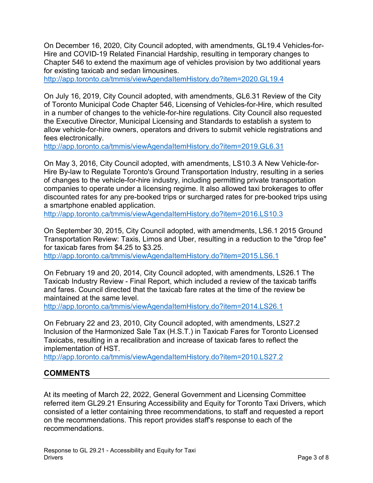On December 16, 2020, City Council adopted, with amendments, GL19.4 Vehicles-for-Hire and COVID-19 Related Financial Hardship, resulting in temporary changes to Chapter 546 to extend the maximum age of vehicles provision by two additional years for existing taxicab and sedan limousines.

<http://app.toronto.ca/tmmis/viewAgendaItemHistory.do?item=2020.GL19.4>

On July 16, 2019, City Council adopted, with amendments, GL6.31 Review of the City of Toronto Municipal Code Chapter 546, Licensing of Vehicles-for-Hire, which resulted in a number of changes to the vehicle-for-hire regulations. City Council also requested the Executive Director, Municipal Licensing and Standards to establish a system to allow vehicle-for-hire owners, operators and drivers to submit vehicle registrations and fees electronically.

<http://app.toronto.ca/tmmis/viewAgendaItemHistory.do?item=2019.GL6.31>

On May 3, 2016, City Council adopted, with amendments, LS10.3 A New Vehicle-for-Hire By-law to Regulate Toronto's Ground Transportation Industry, resulting in a series of changes to the vehicle-for-hire industry, including permitting private transportation companies to operate under a licensing regime. It also allowed taxi brokerages to offer discounted rates for any pre-booked trips or surcharged rates for pre-booked trips using a smartphone enabled application.

<http://app.toronto.ca/tmmis/viewAgendaItemHistory.do?item=2016.LS10.3>

On September 30, 2015, City Council adopted, with amendments, LS6.1 2015 Ground Transportation Review: Taxis, Limos and Uber, resulting in a reduction to the "drop fee" for taxicab fares from \$4.25 to \$3.25.

<http://app.toronto.ca/tmmis/viewAgendaItemHistory.do?item=2015.LS6.1>

On February 19 and 20, 2014, City Council adopted, with amendments, LS26.1 The Taxicab Industry Review - Final Report, which included a review of the taxicab tariffs and fares. Council directed that the taxicab fare rates at the time of the review be maintained at the same level.

<http://app.toronto.ca/tmmis/viewAgendaItemHistory.do?item=2014.LS26.1>

On February 22 and 23, 2010, City Council adopted, with amendments, LS27.2 Inclusion of the Harmonized Sale Tax (H.S.T.) in Taxicab Fares for Toronto Licensed Taxicabs, resulting in a recalibration and increase of taxicab fares to reflect the implementation of HST.

<http://app.toronto.ca/tmmis/viewAgendaItemHistory.do?item=2010.LS27.2>

#### **COMMENTS**

At its meeting of March 22, 2022, General Government and Licensing Committee referred item GL29.21 Ensuring Accessibility and Equity for Toronto Taxi Drivers, which consisted of a letter containing three recommendations, to staff and requested a report on the recommendations. This report provides staff's response to each of the recommendations.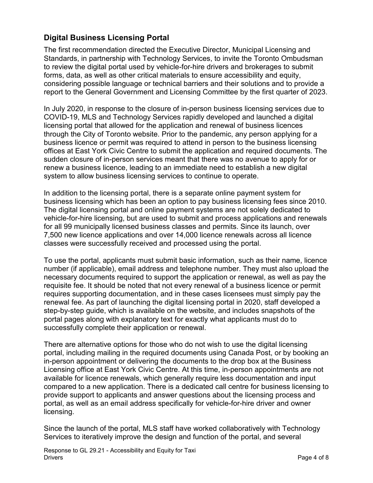## **Digital Business Licensing Portal**

The first recommendation directed the Executive Director, Municipal Licensing and Standards, in partnership with Technology Services, to invite the Toronto Ombudsman to review the digital portal used by vehicle-for-hire drivers and brokerages to submit forms, data, as well as other critical materials to ensure accessibility and equity, considering possible language or technical barriers and their solutions and to provide a report to the General Government and Licensing Committee by the first quarter of 2023.

In July 2020, in response to the closure of in-person business licensing services due to COVID-19, MLS and Technology Services rapidly developed and launched a digital licensing portal that allowed for the application and renewal of business licences through the City of Toronto website. Prior to the pandemic, any person applying for a business licence or permit was required to attend in person to the business licensing offices at East York Civic Centre to submit the application and required documents. The sudden closure of in-person services meant that there was no avenue to apply for or renew a business licence, leading to an immediate need to establish a new digital system to allow business licensing services to continue to operate.

In addition to the licensing portal, there is a separate online payment system for business licensing which has been an option to pay business licensing fees since 2010. The digital licensing portal and online payment systems are not solely dedicated to vehicle-for-hire licensing, but are used to submit and process applications and renewals for all 99 municipally licensed business classes and permits. Since its launch, over 7,500 new licence applications and over 14,000 licence renewals across all licence classes were successfully received and processed using the portal.

To use the portal, applicants must submit basic information, such as their name, licence number (if applicable), email address and telephone number. They must also upload the necessary documents required to support the application or renewal, as well as pay the requisite fee. It should be noted that not every renewal of a business licence or permit requires supporting documentation, and in these cases licensees must simply pay the renewal fee. As part of launching the digital licensing portal in 2020, staff developed a step-by-step guide, which is available on the website, and includes snapshots of the portal pages along with explanatory text for exactly what applicants must do to successfully complete their application or renewal.

There are alternative options for those who do not wish to use the digital licensing portal, including mailing in the required documents using Canada Post, or by booking an in-person appointment or delivering the documents to the drop box at the Business Licensing office at East York Civic Centre. At this time, in-person appointments are not available for licence renewals, which generally require less documentation and input compared to a new application. There is a dedicated call centre for business licensing to provide support to applicants and answer questions about the licensing process and portal, as well as an email address specifically for vehicle-for-hire driver and owner licensing.

Since the launch of the portal, MLS staff have worked collaboratively with Technology Services to iteratively improve the design and function of the portal, and several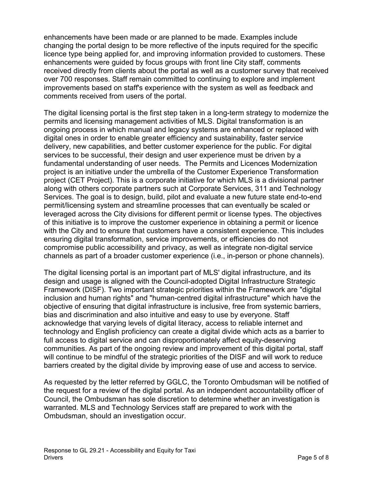enhancements have been made or are planned to be made. Examples include changing the portal design to be more reflective of the inputs required for the specific licence type being applied for, and improving information provided to customers. These enhancements were guided by focus groups with front line City staff, comments received directly from clients about the portal as well as a customer survey that received over 700 responses. Staff remain committed to continuing to explore and implement improvements based on staff's experience with the system as well as feedback and comments received from users of the portal.

The digital licensing portal is the first step taken in a long-term strategy to modernize the permits and licensing management activities of MLS. Digital transformation is an ongoing process in which manual and legacy systems are enhanced or replaced with digital ones in order to enable greater efficiency and sustainability, faster service delivery, new capabilities, and better customer experience for the public. For digital services to be successful, their design and user experience must be driven by a fundamental understanding of user needs. The Permits and Licences Modernization project is an initiative under the umbrella of the Customer Experience Transformation project (CET Project). This is a corporate initiative for which MLS is a divisional partner along with others corporate partners such at Corporate Services, 311 and Technology Services. The goal is to design, build, pilot and evaluate a new future state end-to-end permit/licensing system and streamline processes that can eventually be scaled or leveraged across the City divisions for different permit or license types. The objectives of this initiative is to improve the customer experience in obtaining a permit or licence with the City and to ensure that customers have a consistent experience. This includes ensuring digital transformation, service improvements, or efficiencies do not compromise public accessibility and privacy, as well as integrate non-digital service channels as part of a broader customer experience (i.e., in-person or phone channels).

The digital licensing portal is an important part of MLS' digital infrastructure, and its design and usage is aligned with the Council-adopted Digital Infrastructure Strategic Framework (DISF). Two important strategic priorities within the Framework are "digital inclusion and human rights" and "human-centred digital infrastructure" which have the objective of ensuring that digital infrastructure is inclusive, free from systemic barriers, bias and discrimination and also intuitive and easy to use by everyone. Staff acknowledge that varying levels of digital literacy, access to reliable internet and technology and English proficiency can create a digital divide which acts as a barrier to full access to digital service and can disproportionately affect equity-deserving communities. As part of the ongoing review and improvement of this digital portal, staff will continue to be mindful of the strategic priorities of the DISF and will work to reduce barriers created by the digital divide by improving ease of use and access to service.

As requested by the letter referred by GGLC, the Toronto Ombudsman will be notified of the request for a review of the digital portal. As an independent accountability officer of Council, the Ombudsman has sole discretion to determine whether an investigation is warranted. MLS and Technology Services staff are prepared to work with the Ombudsman, should an investigation occur.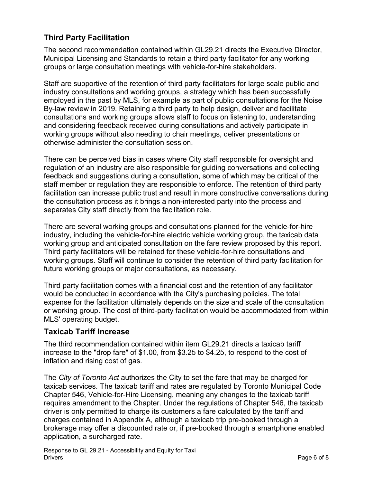## **Third Party Facilitation**

The second recommendation contained within GL29.21 directs the Executive Director, Municipal Licensing and Standards to retain a third party facilitator for any working groups or large consultation meetings with vehicle-for-hire stakeholders.

Staff are supportive of the retention of third party facilitators for large scale public and industry consultations and working groups, a strategy which has been successfully employed in the past by MLS, for example as part of public consultations for the Noise By-law review in 2019. Retaining a third party to help design, deliver and facilitate consultations and working groups allows staff to focus on listening to, understanding and considering feedback received during consultations and actively participate in working groups without also needing to chair meetings, deliver presentations or otherwise administer the consultation session.

There can be perceived bias in cases where City staff responsible for oversight and regulation of an industry are also responsible for guiding conversations and collecting feedback and suggestions during a consultation, some of which may be critical of the staff member or regulation they are responsible to enforce. The retention of third party facilitation can increase public trust and result in more constructive conversations during the consultation process as it brings a non-interested party into the process and separates City staff directly from the facilitation role.

There are several working groups and consultations planned for the vehicle-for-hire industry, including the vehicle-for-hire electric vehicle working group, the taxicab data working group and anticipated consultation on the fare review proposed by this report. Third party facilitators will be retained for these vehicle-for-hire consultations and working groups. Staff will continue to consider the retention of third party facilitation for future working groups or major consultations, as necessary.

Third party facilitation comes with a financial cost and the retention of any facilitator would be conducted in accordance with the City's purchasing policies. The total expense for the facilitation ultimately depends on the size and scale of the consultation or working group. The cost of third-party facilitation would be accommodated from within MLS' operating budget.

#### **Taxicab Tariff Increase**

The third recommendation contained within item GL29.21 directs a taxicab tariff increase to the "drop fare" of \$1.00, from \$3.25 to \$4.25, to respond to the cost of inflation and rising cost of gas.

The *City of Toronto Act* authorizes the City to set the fare that may be charged for taxicab services. The taxicab tariff and rates are regulated by Toronto Municipal Code Chapter 546, Vehicle-for-Hire Licensing, meaning any changes to the taxicab tariff requires amendment to the Chapter. Under the regulations of Chapter 546, the taxicab driver is only permitted to charge its customers a fare calculated by the tariff and charges contained in Appendix A, although a taxicab trip pre-booked through a brokerage may offer a discounted rate or, if pre-booked through a smartphone enabled application, a surcharged rate.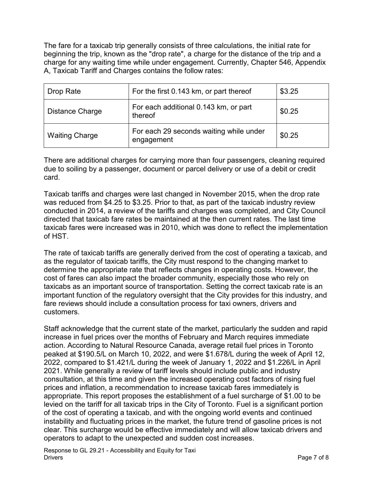The fare for a taxicab trip generally consists of three calculations, the initial rate for beginning the trip, known as the "drop rate", a charge for the distance of the trip and a charge for any waiting time while under engagement. Currently, Chapter 546, Appendix A, Taxicab Tariff and Charges contains the follow rates:

| Drop Rate             | For the first 0.143 km, or part thereof               | \$3.25 |
|-----------------------|-------------------------------------------------------|--------|
| Distance Charge       | For each additional 0.143 km, or part<br>thereof      | \$0.25 |
| <b>Waiting Charge</b> | For each 29 seconds waiting while under<br>engagement | \$0.25 |

There are additional charges for carrying more than four passengers, cleaning required due to soiling by a passenger, document or parcel delivery or use of a debit or credit card.

Taxicab tariffs and charges were last changed in November 2015, when the drop rate was reduced from \$4.25 to \$3.25. Prior to that, as part of the taxicab industry review conducted in 2014, a review of the tariffs and charges was completed, and City Council directed that taxicab fare rates be maintained at the then current rates. The last time taxicab fares were increased was in 2010, which was done to reflect the implementation of HST.

The rate of taxicab tariffs are generally derived from the cost of operating a taxicab, and as the regulator of taxicab tariffs, the City must respond to the changing market to determine the appropriate rate that reflects changes in operating costs. However, the cost of fares can also impact the broader community, especially those who rely on taxicabs as an important source of transportation. Setting the correct taxicab rate is an important function of the regulatory oversight that the City provides for this industry, and fare reviews should include a consultation process for taxi owners, drivers and customers.

Staff acknowledge that the current state of the market, particularly the sudden and rapid increase in fuel prices over the months of February and March requires immediate action. According to Natural Resource Canada, average retail fuel prices in Toronto peaked at \$190.5/L on March 10, 2022, and were \$1.678/L during the week of April 12, 2022, compared to \$1.421/L during the week of January 1, 2022 and \$1.226/L in April 2021. While generally a review of tariff levels should include public and industry consultation, at this time and given the increased operating cost factors of rising fuel prices and inflation, a recommendation to increase taxicab fares immediately is appropriate. This report proposes the establishment of a fuel surcharge of \$1.00 to be levied on the tariff for all taxicab trips in the City of Toronto. Fuel is a significant portion of the cost of operating a taxicab, and with the ongoing world events and continued instability and fluctuating prices in the market, the future trend of gasoline prices is not clear. This surcharge would be effective immediately and will allow taxicab drivers and operators to adapt to the unexpected and sudden cost increases.